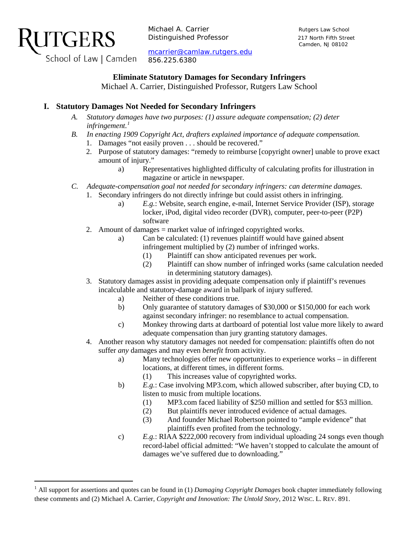# ITGERS

School of Law | Camden

Michael A. Carrier **Michael A. Carrier** Music Rutgers Law School Distinguished Professor 217 North Fifth Street

[mcarrier@camlaw.rutgers.edu](mailto:mcarrier@camlaw.rutgers.edu) 856.225.6380

# **Eliminate Statutory Damages for Secondary Infringers**

Michael A. Carrier, Distinguished Professor, Rutgers Law School

# **I. Statutory Damages Not Needed for Secondary Infringers**

- *A. Statutory damages have two purposes: (1) assure adequate compensation; (2) deter infringement. [1](#page-0-0)*
- *B. In enacting 1909 Copyright Act, drafters explained importance of adequate compensation.*
	- 1. Damages "not easily proven . . . should be recovered."
		- 2. Purpose of statutory damages: "remedy to reimburse [copyright owner] unable to prove exact amount of injury."
			- a) Representatives highlighted difficulty of calculating profits for illustration in magazine or article in newspaper.

# *C. Adequate-compensation goal not needed for secondary infringers: can determine damages.*

- 1. Secondary infringers do not directly infringe but could assist others in infringing.
	- a) *E.g.*: Website, search engine, e-mail, Internet Service Provider (ISP), storage locker, iPod, digital video recorder (DVR), computer, peer-to-peer (P2P) software
- 2. Amount of damages = market value of infringed copyrighted works.
	- a) Can be calculated: (1) revenues plaintiff would have gained absent infringement multiplied by (2) number of infringed works.
		-
		- (1) Plaintiff can show anticipated revenues per work.
		- (2) Plaintiff can show number of infringed works (same calculation needed in determining statutory damages).
- 3. Statutory damages assist in providing adequate compensation only if plaintiff's revenues incalculable and statutory-damage award in ballpark of injury suffered.
	- a) Neither of these conditions true.
	- b) Only guarantee of statutory damages of \$30,000 or \$150,000 for each work against secondary infringer: no resemblance to actual compensation.
	- c) Monkey throwing darts at dartboard of potential lost value more likely to award adequate compensation than jury granting statutory damages.
- 4. Another reason why statutory damages not needed for compensation: plaintiffs often do not suffer *any* damages and may even *benefit* from activity.
	- a) Many technologies offer new opportunities to experience works in different locations, at different times, in different forms.
		- (1) This increases value of copyrighted works.
	- b) *E.g.*: Case involving MP3.com, which allowed subscriber, after buying CD, to listen to music from multiple locations.
		- (1) MP3.com faced liability of \$250 million and settled for \$53 million.
		- (2) But plaintiffs never introduced evidence of actual damages.
		- (3) And founder Michael Robertson pointed to "ample evidence" that plaintiffs even profited from the technology.
	- c) *E.g.*: RIAA \$222,000 recovery from individual uploading 24 songs even though record-label official admitted: "We haven't stopped to calculate the amount of damages we've suffered due to downloading."

<span id="page-0-0"></span> <sup>1</sup> All support for assertions and quotes can be found in (1) *Damaging Copyright Damages* book chapter immediately following these comments and (2) Michael A. Carrier, *Copyright and Innovation: The Untold Story*, 2012 WISC. L. REV. 891.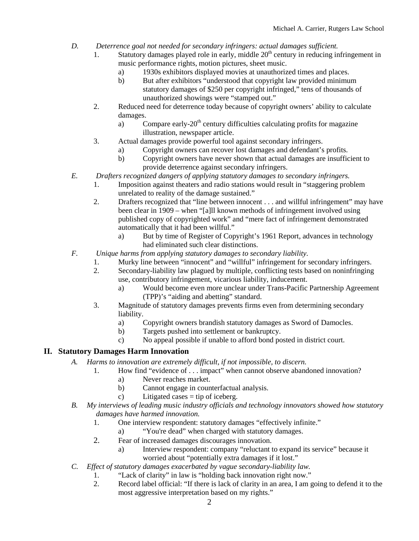- *D. Deterrence goal not needed for secondary infringers: actual damages sufficient.*
	- 1. Statutory damages played role in early, middle  $20<sup>th</sup>$  century in reducing infringement in music performance rights, motion pictures, sheet music.
		- a) 1930s exhibitors displayed movies at unauthorized times and places.<br>b) But after exhibitors "understood that convright law provided minimum
		- But after exhibitors "understood that copyright law provided minimum statutory damages of \$250 per copyright infringed," tens of thousands of unauthorized showings were "stamped out."
	- 2. Reduced need for deterrence today because of copyright owners' ability to calculate damages.
		- a) Compare early- $20<sup>th</sup>$  century difficulties calculating profits for magazine illustration, newspaper article.
	- 3. Actual damages provide powerful tool against secondary infringers.
		- a) Copyright owners can recover lost damages and defendant's profits.
		- b) Copyright owners have never shown that actual damages are insufficient to provide deterrence against secondary infringers.
- *E. Drafters recognized dangers of applying statutory damages to secondary infringers.*
	- 1. Imposition against theaters and radio stations would result in "staggering problem unrelated to reality of the damage sustained."
	- 2. Drafters recognized that "line between innocent . . . and willful infringement" may have been clear in 1909 – when "[a]ll known methods of infringement involved using published copy of copyrighted work" and "mere fact of infringement demonstrated automatically that it had been willful."
		- a) But by time of Register of Copyright's 1961 Report, advances in technology had eliminated such clear distinctions.
- *F. Unique harms from applying statutory damages to secondary liability.*
	- 1. Murky line between "innocent" and "willful" infringement for secondary infringers.<br>2. Secondary-liability law plagued by multiple, conflicting tests based on noninfringing
	- Secondary-liability law plagued by multiple, conflicting tests based on noninfringing use, contributory infringement, vicarious liability, inducement.
		- a) Would become even more unclear under Trans-Pacific Partnership Agreement (TPP)'s "aiding and abetting" standard.
	- 3. Magnitude of statutory damages prevents firms even from determining secondary liability.
		- a) Copyright owners brandish statutory damages as Sword of Damocles.
		- b) Targets pushed into settlement or bankruptcy.
		- c) No appeal possible if unable to afford bond posted in district court.

# **II. Statutory Damages Harm Innovation**

- *A. Harms to innovation are extremely difficult, if not impossible, to discern.*
	- 1. How find "evidence of . . . impact" when cannot observe abandoned innovation?
		- a) Never reaches market.
		- b) Cannot engage in counterfactual analysis.
		- c) Litigated cases  $=$  tip of iceberg.
- *B. My interviews of leading music industry officials and technology innovators showed how statutory damages have harmed innovation.*
	- 1. One interview respondent: statutory damages "effectively infinite."
		- a) "You're dead" when charged with statutory damages.
	- 2. Fear of increased damages discourages innovation.
		- a) Interview respondent: company "reluctant to expand its service" because it worried about "potentially extra damages if it lost."
- *C. Effect of statutory damages exacerbated by vague secondary-liability law.*
	- 1. "Lack of clarity" in law is "holding back innovation right now."
	- 2. Record label official: "If there is lack of clarity in an area, I am going to defend it to the most aggressive interpretation based on my rights."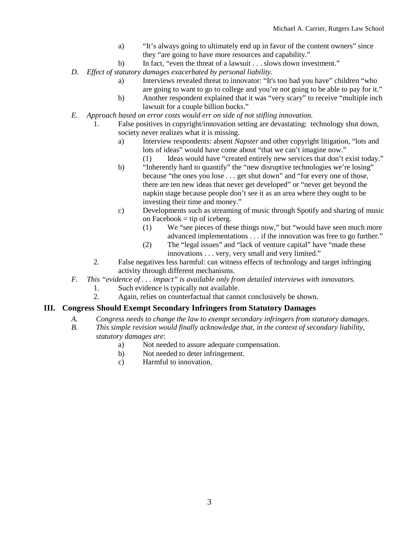- a) "It's always going to ultimately end up in favor of the content owners" since they "are going to have more resources and capability."
- b) In fact, "even the threat of a lawsuit . . . slows down investment."
- *D. Effect of statutory damages exacerbated by personal liability.*
	- a) Interviews revealed threat to innovator: "It's too bad you have" children "who are going to want to go to college and you're not going to be able to pay for it."
	- b) Another respondent explained that it was "very scary" to receive "multiple inch lawsuit for a couple billion bucks."
- *E. Approach based on error costs would err on side of not stifling innovation.*
	- 1. False positives in copyright/innovation setting are devastating: technology shut down, society never realizes what it is missing.
		- a) Interview respondents: absent *Napster* and other copyright litigation, "lots and lots of ideas" would have come about "that we can't imagine now."
			- (1) Ideas would have "created entirely new services that don't exist today."
		- b) "Inherently hard to quantify" the "new disruptive technologies we're losing" because "the ones you lose . . . get shut down" and "for every one of those, there are ten new ideas that never get developed" or "never get beyond the napkin stage because people don't see it as an area where they ought to be investing their time and money."
		- c) Developments such as streaming of music through Spotify and sharing of music on Facebook  $=$  tip of iceberg.
			- (1) We "see pieces of these things now," but "would have seen much more advanced implementations . . . if the innovation was free to go further."
			- (2) The "legal issues" and "lack of venture capital" have "made these innovations . . . very, very small and very limited."
	- 2. False negatives less harmful: can witness effects of technology and target infringing activity through different mechanisms.
- *F. This "evidence of . . . impact" is available only from detailed interviews with innovators.*
	- 1. Such evidence is typically not available.
	- 2. Again, relies on counterfactual that cannot conclusively be shown.

# **III. Congress Should Exempt Secondary Infringers from Statutory Damages**

- *A. Congress needs to change the law to exempt secondary infringers from statutory damages.*
- *B. This simple revision would finally acknowledge that, in the context of secondary liability, statutory damages are*:
	- a) Not needed to assure adequate compensation.
	- b) Not needed to deter infringement.
	- c) Harmful to innovation.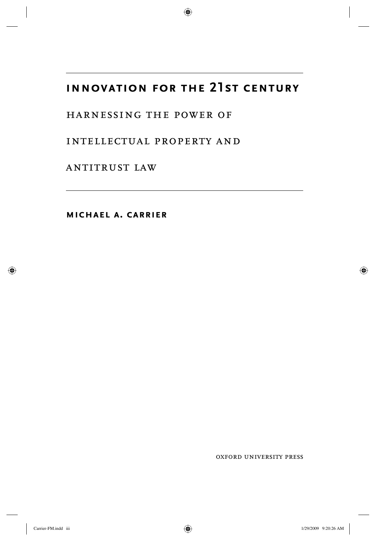⊕

harnessing the power of

intellectual property and

antitrust law

**michael a. carrier**

oxford university press

↔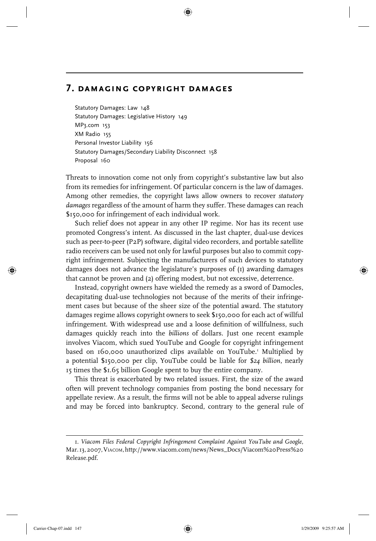Statutory Damages: Law 148 Statutory Damages: Legislative History 149 MP3.com 153 XM Radio 155 Personal Investor Liability 156 Statutory Damages/Secondary Liability Disconnect 158 Proposal 160

Threats to innovation come not only from copyright's substantive law but also from its remedies for infringement. Of particular concern is the law of damages. Among other remedies, the copyright laws allow owners to recover *statutory damages* regardless of the amount of harm they suffer. These damages can reach \$150,000 for infringement of each individual work.

Such relief does not appear in any other IP regime. Nor has its recent use promoted Congress's intent. As discussed in the last chapter, dual-use devices such as peer-to-peer (P2P) software, digital video recorders, and portable satellite radio receivers can be used not only for lawful purposes but also to commit copyright infringement. Subjecting the manufacturers of such devices to statutory damages does not advance the legislature's purposes of (1) awarding damages that cannot be proven and (2) offering modest, but not excessive, deterrence.

Instead, copyright owners have wielded the remedy as a sword of Damocles, decapitating dual-use technologies not because of the merits of their infringement cases but because of the sheer size of the potential award. The statutory damages regime allows copyright owners to seek \$150,000 for each act of willful infringement. With widespread use and a loose definition of willfulness, such damages quickly reach into the *billions* of dollars. Just one recent example involves Viacom, which sued YouTube and Google for copyright infringement based on 160,000 unauthorized clips available on YouTube.<sup>1</sup> Multiplied by a potential \$150,000 per clip, YouTube could be liable for *\$24 billion*, nearly 15 times the \$1.65 billion Google spent to buy the entire company.

This threat is exacerbated by two related issues. First, the size of the award often will prevent technology companies from posting the bond necessary for appellate review. As a result, the firms will not be able to appeal adverse rulings and may be forced into bankruptcy. Second, contrary to the general rule of

⊕

<sup>1.</sup> *Viacom Files Federal Copyright Infringement Complaint Against YouTube and Google*, Mar. 13, 2007, VIACOM, http://www.viacom.com/news/News\_Docs/Viacom%20Press%20 Release.pdf.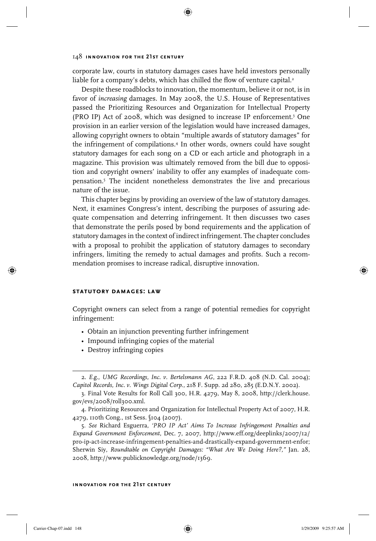corporate law, courts in statutory damages cases have held investors personally liable for a company's debts, which has chilled the flow of venture capital.<sup>2</sup>

⊕

Despite these roadblocks to innovation, the momentum, believe it or not, is in favor of *increasing* damages. In May 2008, the U.S. House of Representatives passed the Prioritizing Resources and Organization for Intellectual Property (PRO IP) Act of 2008, which was designed to increase IP enforcement.3 One provision in an earlier version of the legislation would have increased damages, allowing copyright owners to obtain "multiple awards of statutory damages" for the infringement of compilations.4 In other words, owners could have sought statutory damages for each song on a CD or each article and photograph in a magazine. This provision was ultimately removed from the bill due to opposition and copyright owners' inability to offer any examples of inadequate compensation.5 The incident nonetheless demonstrates the live and precarious nature of the issue.

This chapter begins by providing an overview of the law of statutory damages. Next, it examines Congress's intent, describing the purposes of assuring adequate compensation and deterring infringement. It then discusses two cases that demonstrate the perils posed by bond requirements and the application of statutory damages in the context of indirect infringement. The chapter concludes with a proposal to prohibit the application of statutory damages to secondary infringers, limiting the remedy to actual damages and profits. Such a recommendation promises to increase radical, disruptive innovation.

#### **statutory damages: law**

Copyright owners can select from a range of potential remedies for copyright infringement:

- Obtain an injunction preventing further infringement
- Impound infringing copies of the material
- Destroy infringing copies

**innovation for the 21st century**

 $C\left(\bigoplus_{i=1}^{\infty} A_i\right)$  arrier-Chap-07.indd 148 arrier-Chap-07.indd 148 arrier-Chap-07.indd 148 arrier-Chap-07.indd 148 arriver-Chap-07.indd 148 arriver-Chap-07.indd 148 arriver-Chap-07.indd 148 arriver-Chap-07.indd 148

⊕

<sup>2.</sup> *E.g*., *UMG Recordings, Inc. v. Bertelsmann AG*, 222 F.R.D. 408 (N.D. Cal. 2004); *Capitol Records, Inc. v. Wings Digital Corp*., 218 F. Supp. 2d 280, 285 (E.D.N.Y. 2002).

<sup>3.</sup> Final Vote Results for Roll Call 300, H.R. 4279, May 8, 2008, http://clerk.house. gov/evs/2008/roll300.xml.

<sup>4.</sup> Prioritizing Resources and Organization for Intellectual Property Act of 2007, H.R. 4279, 110th Cong., 1st Sess. §104 (2007).

<sup>5.</sup> *See* Richard Esguerra, *'PRO IP Act' Aims To Increase Infringement Penalties and Expand Government Enforcement*, Dec. 7, 2007, http://www.eff.org/deeplinks/2007/12/ pro-ip-act-increase-infringement-penalties-and-drastically-expand-government-enfor; Sherwin Siy, *Roundtable on Copyright Damages: "What Are We Doing Here?,"* Jan. 28, 2008, http://www.publicknowledge.org/node/1369.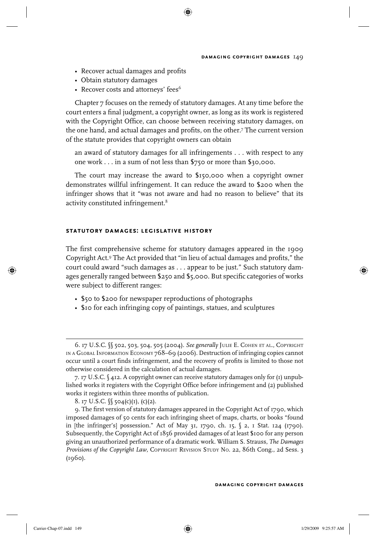- Recover actual damages and profits
- Obtain statutory damages
- Recover costs and attorneys' fees<sup>6</sup>

Chapter 7 focuses on the remedy of statutory damages. At any time before the court enters a final judgment, a copyright owner, as long as its work is registered with the Copyright Office, can choose between receiving statutory damages, on the one hand, and actual damages and profits, on the other.<sup>7</sup> The current version of the statute provides that copyright owners can obtain

an award of statutory damages for all infringements . . . with respect to any one work . . . in a sum of not less than \$750 or more than \$30,000.

The court may increase the award to \$150,000 when a copyright owner demonstrates willful infringement. It can reduce the award to \$200 when the infringer shows that it "was not aware and had no reason to believe" that its activity constituted infringement.<sup>8</sup>

#### **statutory damages: legislative history**

The first comprehensive scheme for statutory damages appeared in the 1909 Copyright Act.<sup>9</sup> The Act provided that "in lieu of actual damages and profits," the court could award "such damages as . . . appear to be just." Such statutory damages generally ranged between \$250 and \$5,000. But specific categories of works were subject to different ranges:

- \$50 to \$200 for newspaper reproductions of photographs
- \$10 for each infringing copy of paintings, statues, and sculptures

<sup>6. 17</sup> U.S.C. §§ 502, 503, 504, 505 (2004). *See generally* JULIE E. COHEN ET AL., COPYRIGHT IN A GLOBAL INFORMATION ECONOMY 768–69 (2006). Destruction of infringing copies cannot occur until a court finds infringement, and the recovery of profits is limited to those not otherwise considered in the calculation of actual damages.

<sup>7. 17</sup> U.S.C. § 412. A copyright owner can receive statutory damages only for (1) unpublished works it registers with the Copyright Office before infringement and (2) published works it registers within three months of publication.

<sup>8. 17</sup> U.S.C.  $\iint$  504(c)(1), (c)(2).

<sup>9.</sup> The first version of statutory damages appeared in the Copyright Act of 1790, which imposed damages of 50 cents for each infringing sheet of maps, charts, or books "found in [the infringer's] possession." Act of May 31, 1790, ch. 15, § 2, 1 Stat. 124 (1790). Subsequently, the Copyright Act of 1856 provided damages of at least \$100 for any person giving an unauthorized performance of a dramatic work. William S. Strauss, *The Damages Provisions of the Copyright Law,* COPYRIGHT REVISION STUDY NO. 22, 86th Cong., 2d Sess. 3 (1960).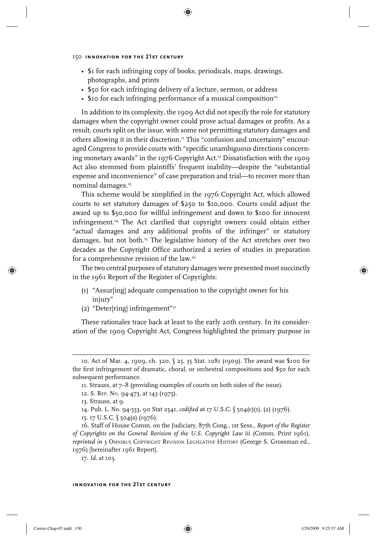• \$1 for each infringing copy of books, periodicals, maps, drawings, photographs, and prints

⊕

- \$50 for each infringing delivery of a lecture, sermon, or address
- \$10 for each infringing performance of a musical composition<sup>10</sup>

In addition to its complexity, the 1909 Act did not specify the role for statutory damages when the copyright owner could prove actual damages or profits. As a result, courts split on the issue, with some not permitting statutory damages and others allowing it in their discretion.<sup> $\pi$ </sup> This "confusion and uncertainty" encouraged Congress to provide courts with "specific unambiguous directions concerning monetary awards" in the 1976 Copyright Act.12 Dissatisfaction with the 1909 Act also stemmed from plaintiffs' frequent inability—despite the "substantial expense and inconvenience" of case preparation and trial—to recover more than nominal damages.13

This scheme would be simplified in the 1976 Copyright Act, which allowed courts to set statutory damages of \$250 to \$10,000. Courts could adjust the award up to \$50,000 for willful infringement and down to \$100 for innocent infringement.<sup>14</sup> The Act clarified that copyright owners could obtain either "actual damages and any additional profits of the infringer" or statutory damages, but not both.15 The legislative history of the Act stretches over two decades as the Copyright Office authorized a series of studies in preparation for a comprehensive revision of the law.16

The two central purposes of statutory damages were presented most succinctly in the 1961 Report of the Register of Copyrights:

- (1) "Assur[ing] adequate compensation to the copyright owner for his injury"
- (2) "Deter[ring] infringement"<sup>17</sup>

These rationales trace back at least to the early 20th century. In its consideration of the 1909 Copyright Act, Congress highlighted the primary purpose in

17. *Id*. at 103.

#### **innovation for the 21st century**

 $C\left(\bigoplus_{i=1}^{\infty} P_i\right)$  arrier-Chap-07.indd 150 arrier-Chap-07.indd 150 arriver-Chap-07.indd 150 arriver-Chap-07.indd 150 arriver-Chap-07.indd 150 arriver-Chap-07.indd 150 arriver-Chap-07.indd 150 arriver-Chap-07.indd 15

⊕

<sup>10.</sup> Act of Mar. 4, 1909, ch. 320, § 25, 35 Stat. 1081 (1909). The award was \$100 for the first infringement of dramatic, choral, or orchestral compositions and \$50 for each subsequent performance.

<sup>11.</sup> Strauss, at 7–8 (providing examples of courts on both sides of the issue).

<sup>12.</sup> S. REP. NO. 94-473, at 143 (1975).

<sup>13.</sup> Strauss, at 9.

<sup>14.</sup> Pub. L. No. 94-553, 90 Stat 2541, *codified at* 17 U.S.C. § 504(c)(1), (2) (1976).

<sup>15. 17</sup> U.S.C. § 504(a) (1976).

<sup>16.</sup> Staff of House Comm. on the Judiciary, 87th Cong., 1st Sess., *Report of the Register of Copyrights on the General Revision of the U.S. Copyright Law* iii (Comm. Print 1961), *reprinted in* 3 OMNIBUS COPYRIGHT REVISION LEGISLATIVE HISTORY (George S. Grossman ed., 1976) [hereinafter 1961 Report].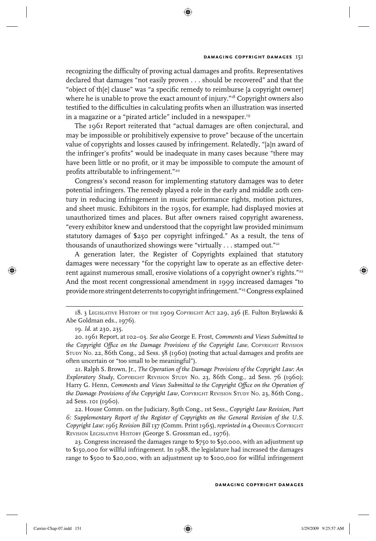recognizing the difficulty of proving actual damages and profits. Representatives declared that damages "not easily proven . . . should be recovered" and that the "object of th[e] clause" was "a specific remedy to reimburse [a copyright owner] where he is unable to prove the exact amount of injury."<sup>18</sup> Copyright owners also testified to the difficulties in calculating profits when an illustration was inserted in a magazine or a "pirated article" included in a newspaper.<sup>19</sup>

The 1961 Report reiterated that "actual damages are often conjectural, and may be impossible or prohibitively expensive to prove" because of the uncertain value of copyrights and losses caused by infringement. Relatedly, "[a]n award of the infringer's profits" would be inadequate in many cases because "there may have been little or no profit, or it may be impossible to compute the amount of profits attributable to infringement."<sup>20</sup>

Congress's second reason for implementing statutory damages was to deter potential infringers. The remedy played a role in the early and middle 20th century in reducing infringement in music performance rights, motion pictures, and sheet music. Exhibitors in the 1930s, for example, had displayed movies at unauthorized times and places. But after owners raised copyright awareness, "every exhibitor knew and understood that the copyright law provided minimum statutory damages of \$250 per copyright infringed." As a result, the tens of thousands of unauthorized showings were "virtually . . . stamped out."<sup>21</sup>

A generation later, the Register of Copyrights explained that statutory damages were necessary "for the copyright law to operate as an effective deterrent against numerous small, erosive violations of a copyright owner's rights."22 And the most recent congressional amendment in 1999 increased damages "to provide more stringent deterrents to copyright infringement."23 Congress explained

20. 1961 Report, at 102–03. *See also* George E. Frost, *Comments and Views Submitted to*  the Copyright Office on the Damage Provisions of the Copyright Law, COPYRIGHT REVISION STUDY No. 22, 86th Cong., 2d Sess.  $38$  (1960) (noting that actual damages and profits are often uncertain or "too small to be meaningful").

21. Ralph S. Brown, Jr., *The Operation of the Damage Provisions of the Copyright Law: An Exploratory Study,* COPYRIGHT REVISION STUDY NO. 23, 86th Cong., 2d Sess. 76 (1960); Harry G. Henn, *Comments and Views Submitted to the Copyright Office on the Operation of the Damage Provisions of the Copyright Law,* COPYRIGHT REVISION STUDY NO. 23, 86th Cong., 2d Sess. 101 (1960).

22. House Comm. on the Judiciary, 89th Cong., 1st Sess., *Copyright Law Revision, Part 6: Supplementary Report of the Register of Copyrights on the General Revision of the U.S. Copyright Law: 1965 Revision Bill* 137 (Comm. Print 1965), *reprinted in* 4 OMNIBUS COPYRIGHT REVISION LEGISLATIVE HISTORY (George S. Grossman ed., 1976).

23. Congress increased the damages range to \$750 to \$30,000, with an adjustment up to \$150,000 for willful infringement. In 1988, the legislature had increased the damages range to \$500 to \$20,000, with an adjustment up to \$100,000 for willful infringement

<sup>18. 3</sup> LEGISLATIVE HISTORY OF THE 1909 COPYRIGHT ACT 229, 236 (E. Fulton Brylawski & Abe Goldman eds., 1976).

<sup>19.</sup> *Id*. at 230, 235.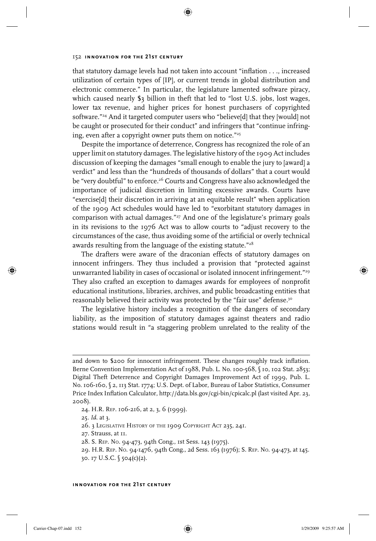that statutory damage levels had not taken into account "inflation . . ., increased utilization of certain types of [IP], or current trends in global distribution and electronic commerce." In particular, the legislature lamented software piracy, which caused nearly \$3 billion in theft that led to "lost U.S. jobs, lost wages, lower tax revenue, and higher prices for honest purchasers of copyrighted software."24 And it targeted computer users who "believe[d] that they [would] not be caught or prosecuted for their conduct" and infringers that "continue infringing, even after a copyright owner puts them on notice."<sup>25</sup>

Despite the importance of deterrence, Congress has recognized the role of an upper limit on statutory damages. The legislative history of the 1909 Act includes discussion of keeping the damages "small enough to enable the jury to [award] a verdict" and less than the "hundreds of thousands of dollars" that a court would be "very doubtful" to enforce.<sup>26</sup> Courts and Congress have also acknowledged the importance of judicial discretion in limiting excessive awards. Courts have "exercise[d] their discretion in arriving at an equitable result" when application of the 1909 Act schedules would have led to "exorbitant statutory damages in comparison with actual damages."<sup>27</sup> And one of the legislature's primary goals in its revisions to the 1976 Act was to allow courts to "adjust recovery to the circumstances of the case, thus avoiding some of the artificial or overly technical awards resulting from the language of the existing statute."<sup>28</sup>

The drafters were aware of the draconian effects of statutory damages on innocent infringers. They thus included a provision that "protected against unwarranted liability in cases of occasional or isolated innocent infringement."<sup>29</sup> They also crafted an exception to damages awards for employees of nonprofit educational institutions, libraries, archives, and public broadcasting entities that reasonably believed their activity was protected by the "fair use" defense.<sup>30</sup>

The legislative history includes a recognition of the dangers of secondary liability, as the imposition of statutory damages against theaters and radio stations would result in "a staggering problem unrelated to the reality of the

25. *Id*. at 3.

26. 3 LEGISLATIVE HISTORY OF THE 1909 COPYRIGHT ACT 235, 241.

27. Strauss, at 11.

**innovation for the 21st century**

and down to \$200 for innocent infringement. These changes roughly track inflation. Berne Convention Implementation Act of 1988, Pub. L. No. 100-568, § 10, 102 Stat. 2853; Digital Theft Deterrence and Copyright Damages Improvement Act of 1999, Pub. L. No. 106-160, § 2, 113 Stat. 1774; U.S. Dept. of Labor, Bureau of Labor Statistics, Consumer Price Index Inflation Calculator, http://data.bls.gov/cgi-bin/cpicalc.pl (last visited Apr. 23, 2008).

<sup>24.</sup> H.R. REP. 106-216, at 2, 3, 6 (1999).

<sup>28.</sup> S. REP. NO. 94-473, 94th Cong., 1st Sess. 143 (1975).

<sup>29.</sup> H.R. REP. NO. 94-1476, 94th Cong., 2d Sess. 163 (1976); S. REP. NO. 94-473, at 145. 30. 17 U.S.C.  $\sqrt{504(c)(2)}$ .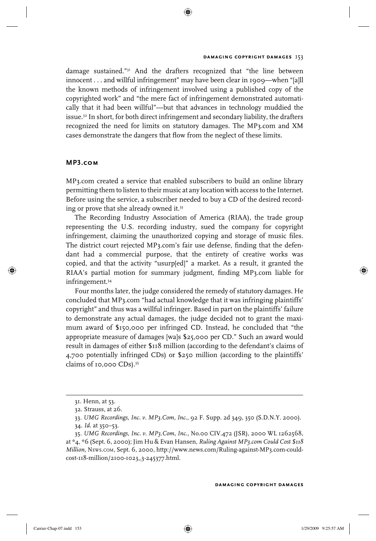

damage sustained."31 And the drafters recognized that "the line between innocent . . . and willful infringement" may have been clear in 1909—when "[a]ll the known methods of infringement involved using a published copy of the copyrighted work" and "the mere fact of infringement demonstrated automatically that it had been willful"—but that advances in technology muddied the issue.32 In short, for both direct infringement and secondary liability, the drafters recognized the need for limits on statutory damages. The MP3.com and XM cases demonstrate the dangers that flow from the neglect of these limits.

#### **MP3.com**

⊕

MP3.com created a service that enabled subscribers to build an online library permitting them to listen to their music at any location with access to the Internet. Before using the service, a subscriber needed to buy a CD of the desired recording or prove that she already owned it.<sup>33</sup>

The Recording Industry Association of America (RIAA), the trade group representing the U.S. recording industry, sued the company for copyright infringement, claiming the unauthorized copying and storage of music files. The district court rejected MP3.com's fair use defense, finding that the defendant had a commercial purpose, that the entirety of creative works was copied, and that the activity "usurp[ed]" a market. As a result, it granted the RIAA's partial motion for summary judgment, finding MP3.com liable for infringement.34

Four months later, the judge considered the remedy of statutory damages. He concluded that MP3.com "had actual knowledge that it was infringing plaintiffs' copyright" and thus was a willful infringer. Based in part on the plaintiffs' failure to demonstrate any actual damages, the judge decided not to grant the maximum award of \$150,000 per infringed CD. Instead, he concluded that "the appropriate measure of damages [wa]s \$25,000 per CD." Such an award would result in damages of either \$118 million (according to the defendant's claims of 4,700 potentially infringed CDs) or \$250 million (according to the plaintiffs' claims of 10,000 CDs).35

**damaging copyright damages**

<sup>31.</sup> Henn, at 53.

<sup>32.</sup> Strauss, at 26.

<sup>33.</sup> *UMG Recordings, Inc. v. MP3.Com, Inc*., 92 F. Supp. 2d 349, 350 (S.D.N.Y. 2000).

<sup>34.</sup> *Id*. at 350–53.

<sup>35.</sup> *UMG Recordings, Inc. v. MP3.Com, Inc*., No.00 CIV.472 (JSR), 2000 WL 1262568, at \*4, \*6 (Sept. 6, 2000); Jim Hu & Evan Hansen, *Ruling Against MP3.com Could Cost \$118 Million*, NEWS.COM, Sept. 6, 2000, http://www.news.com/Ruling-against-MP3.com-couldcost-118-million/2100-1023\_3-245377.html.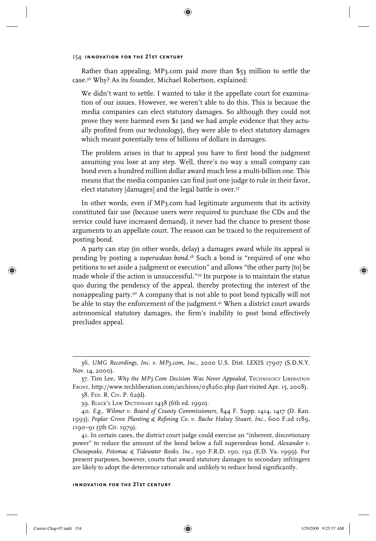Rather than appealing, MP3.com paid more than \$53 million to settle the case.36 Why? As its founder, Michael Robertson, explained:

We didn't want to settle. I wanted to take it the appellate court for examination of our issues. However, we weren't able to do this. This is because the media companies can elect statutory damages. So although they could not prove they were harmed even \$1 (and we had ample evidence that they actually profited from our technology), they were able to elect statutory damages which meant potentially tens of billions of dollars in damages.

The problem arises in that to appeal you have to first bond the judgment assuming you lose at any step. Well, there's no way a small company can bond even a hundred million dollar award much less a multi-billion one. This means that the media companies can find just one judge to rule in their favor, elect statutory [damages] and the legal battle is over.<sup>37</sup>

In other words, even if MP3.com had legitimate arguments that its activity constituted fair use (because users were required to purchase the CDs and the service could have increased demand), it never had the chance to present those arguments to an appellate court. The reason can be traced to the requirement of posting bond.

A party can stay (in other words, delay) a damages award while its appeal is pending by posting a *supersedeas bond*. 38 Such a bond is "required of one who petitions to set aside a judgment or execution" and allows "the other party [to] be made whole if the action is unsuccessful."39 Its purpose is to maintain the status quo during the pendency of the appeal, thereby protecting the interest of the nonappealing party.40 A company that is not able to post bond typically will not be able to stay the enforcement of the judgment.<sup>41</sup> When a district court awards astronomical statutory damages, the firm's inability to post bond effectively precludes appeal.

#### **innovation for the 21st century**

 $C\left(\bigoplus_{i=1}^{\infty}$  arrier-Chap-07.indd 154 arrier-Chap-07.indd 154 arrier-Chap-07.indd 154 arrier-Chap-07.indd 154 arriver-Chap-07.indd 154 arriver-Chap-07.indd 154 arriver-Chap-07.indd 154 arriver-Chap-07.indd 154 arriv

<sup>36.</sup> *UMG Recordings, Inc. v. MP3.com, Inc*., 2000 U.S. Dist. LEXIS 17907 (S.D.N.Y. Nov. 14, 2000).

<sup>37.</sup> Tim Lee, Why the MP3.Com Decision Was Never Appealed, TECHNOLOGY LIBERATION FRONT, http://www.techliberation.com/archives/038260.php (last visited Apr. 15, 2008).

<sup>38.</sup> FED. R. CIV. P. 62(d).

<sup>39.</sup> BLACK'S LAW DICTIONARY 1438 (6th ed. 1990).

<sup>40.</sup> *E.g*., *Wilmer v. Board of County Commissioners*, 844 F. Supp. 1414, 1417 (D. Kan. 1993); *Poplar Grove Planting & Refining Co. v. Bache Halsey Stuart, Inc.*, 600 F.2d 1189, 1190–91 (5th Cir. 1979).

<sup>41.</sup> In certain cases, the district court judge could exercise an "inherent, discretionary power" to reduce the amount of the bond below a full supersedeas bond. *Alexander v. Chesapeake, Potomac & Tidewater Books, Inc*., 190 F.R.D. 190, 192 (E.D. Va. 1999). For present purposes, however, courts that award statutory damages to secondary infringers are likely to adopt the deterrence rationale and unlikely to reduce bond significantly.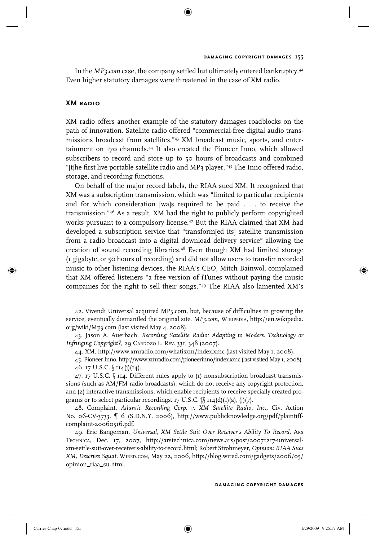In the *MP3.com* case, the company settled but ultimately entered bankruptcy.42 Even higher statutory damages were threatened in the case of XM radio.

#### **XM radio**

XM radio offers another example of the statutory damages roadblocks on the path of innovation. Satellite radio offered "commercial-free digital audio transmissions broadcast from satellites."43 XM broadcast music, sports, and entertainment on 170 channels.44 It also created the Pioneer Inno, which allowed subscribers to record and store up to 50 hours of broadcasts and combined "[t]he first live portable satellite radio and MP3 player."<sup>45</sup> The Inno offered radio, storage, and recording functions.

On behalf of the major record labels, the RIAA sued XM. It recognized that XM was a subscription transmission, which was "limited to particular recipients and for which consideration [wa]s required to be paid . . . to receive the transmission."46 As a result, XM had the right to publicly perform copyrighted works pursuant to a compulsory license.47 But the RIAA claimed that XM had developed a subscription service that "transform[ed its] satellite transmission from a radio broadcast into a digital download delivery service" allowing the creation of sound recording libraries.48 Even though XM had limited storage (1 gigabyte, or 50 hours of recording) and did not allow users to transfer recorded music to other listening devices, the RIAA's CEO, Mitch Bainwol, complained that XM offered listeners "a free version of iTunes without paying the music companies for the right to sell their songs."49 The RIAA also lamented XM's

<sup>42.</sup> Vivendi Universal acquired MP3.com, but, because of difficulties in growing the service, eventually dismantled the original site.  $MP_3.com$ , WIKIPEDIA, http://en.wikipedia. org/wiki/Mp3.com (last visited May 4, 2008).

<sup>43.</sup> Jason A. Auerbach, *Recording Satellite Radio: Adapting to Modern Technology or Infringing Copyright?*, 29 CARDOZO L. REV. 331, 348 (2007).

<sup>44.</sup> XM, http://www.xmradio.com/whatisxm/index.xmc (last visited May 1, 2008).

<sup>45.</sup> Pioneer Inno, http://www.xmradio.com/pioneerinno/index.xmc (last visited May 1, 2008). 46. 17 U.S.C. § 114(j)(14).

<sup>47. 17</sup> U.S.C. § 114. Different rules apply to (1) nonsubscription broadcast transmissions (such as AM/FM radio broadcasts), which do not receive any copyright protection, and (2) interactive transmissions, which enable recipients to receive specially created programs or to select particular recordings. 17 U.S.C.  $\int \int \pi 4(d)(1)(a)$ , (j)(7).

<sup>48.</sup> Complaint, *Atlantic Recording Corp. v. XM Satellite Radio, Inc.,* Civ. Action No. 06-CV-3733, ¶ 6 (S.D.N.Y. 2006), http://www.publicknowledge.org/pdf/plaintiffcomplaint-20060516.pdf.

<sup>49.</sup> Eric Bangeman, *Universal, XM Settle Suit Over Receiver's Ability To Record*, ARS TECHNICA, Dec. 17, 2007, http://arstechnica.com/news.ars/post/20071217-universalxm-settle-suit-over-receivers-ability-to-record.html; Robert Strohmeyer, *Opinion: RIAA Sues XM, Deserves Squat*, WIRED.COM, May 22, 2006, http://blog.wired.com/gadgets/2006/05/ opinion\_riaa\_su.html.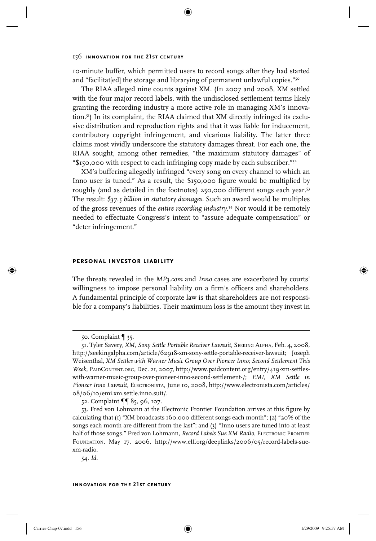10-minute buffer, which permitted users to record songs after they had started and "facilitat[ed] the storage and librarying of permanent unlawful copies."<sup>50</sup>

⊕

The RIAA alleged nine counts against XM. (In 2007 and 2008, XM settled with the four major record labels, with the undisclosed settlement terms likely granting the recording industry a more active role in managing XM's innovation.51) In its complaint, the RIAA claimed that XM directly infringed its exclusive distribution and reproduction rights and that it was liable for inducement, contributory copyright infringement, and vicarious liability. The latter three claims most vividly underscore the statutory damages threat. For each one, the RIAA sought, among other remedies, "the maximum statutory damages" of "\$150,000 with respect to each infringing copy made by each subscriber."52

XM's buffering allegedly infringed "every song on every channel to which an Inno user is tuned." As a result, the \$150,000 figure would be multiplied by roughly (and as detailed in the footnotes) 250,000 different songs each year.<sup>53</sup> The result: *\$37.5 billion in statutory damages*. Such an award would be multiples of the gross revenues of the *entire recording industry*. 54 Nor would it be remotely needed to effectuate Congress's intent to "assure adequate compensation" or "deter infringement."

# **personal investor liability**

The threats revealed in the *MP3.com* and *Inno* cases are exacerbated by courts' willingness to impose personal liability on a firm's officers and shareholders. A fundamental principle of corporate law is that shareholders are not responsible for a company's liabilities. Their maximum loss is the amount they invest in

52. Complaint ¶¶ 85, 96, 107.

54. *Id*.

#### **innovation for the 21st century**

⊕

<sup>50.</sup> Complaint ¶ 35.

<sup>51.</sup> Tyler Savery, *XM, Sony Settle Portable Receiver Lawsuit*, SEEKING ALPHA, Feb. 4, 2008, http://seekingalpha.com/article/62918-xm-sony-settle-portable-receiver-lawsuit; Joseph Weisenthal, *XM Settles with Warner Music Group Over Pioneer Inno; Second Settlement This Week*, PAIDCONTENT.ORG, Dec. 21, 2007, http://www.paidcontent.org/entry/419-xm-settleswith-warner-music-group-over-pioneer-inno-second-settlement-/; *EMI*, *XM Settle in Pioneer Inno Lawsuit*, ELECTRONISTA, June 10, 2008, http://www.electronista.com/articles/ 08/06/10/emi.xm.settle.inno.suit/.

<sup>53.</sup> Fred von Lohmann at the Electronic Frontier Foundation arrives at this figure by calculating that (1) "XM broadcasts 160,000 different songs each month"; (2) "20% of the songs each month are different from the last"; and (3) "Inno users are tuned into at least half of those songs." Fred von Lohmann, *Record Labels Sue XM Radio*, ELECTRONIC FRONTIER FOUNDATION, May 17, 2006, http://www.eff.org/deeplinks/2006/05/record-labels-suexm-radio.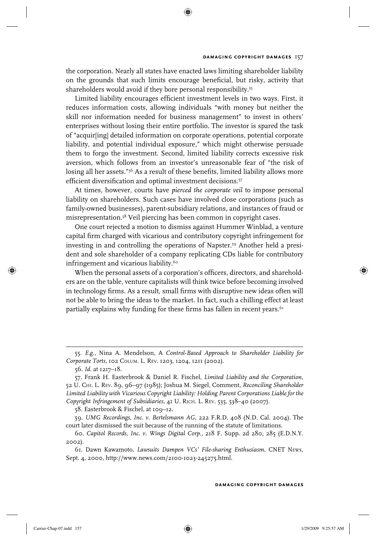the corporation. Nearly all states have enacted laws limiting shareholder liability on the grounds that such limits encourage beneficial, but risky, activity that shareholders would avoid if they bore personal responsibility.<sup>55</sup>

Limited liability encourages efficient investment levels in two ways. First, it reduces information costs, allowing individuals "with money but neither the skill nor information needed for business management" to invest in others' enterprises without losing their entire portfolio. The investor is spared the task of "acquir[ing] detailed information on corporate operations, potential corporate liability, and potential individual exposure," which might otherwise persuade them to forgo the investment. Second, limited liability corrects excessive risk aversion, which follows from an investor's unreasonable fear of "the risk of losing all her assets."<sup>56</sup> As a result of these benefits, limited liability allows more efficient diversification and optimal investment decisions.<sup>57</sup>

At times, however, courts have *pierced the corporate veil* to impose personal liability on shareholders. Such cases have involved close corporations (such as family-owned businesses), parent-subsidiary relations, and instances of fraud or misrepresentation.58 Veil piercing has been common in copyright cases.

One court rejected a motion to dismiss against Hummer Winblad, a venture capital firm charged with vicarious and contributory copyright infringement for investing in and controlling the operations of Napster.59 Another held a president and sole shareholder of a company replicating CDs liable for contributory infringement and vicarious liability.<sup>60</sup>

When the personal assets of a corporation's officers, directors, and shareholders are on the table, venture capitalists will think twice before becoming involved in technology firms. As a result, small firms with disruptive new ideas often will not be able to bring the ideas to the market. In fact, such a chilling effect at least partially explains why funding for these firms has fallen in recent years.<sup>61</sup>

56. *Id*. at 1217–18.

58. Easterbrook & Fischel, at 109–12.

59. *UMG Recordings, Inc. v. Bertelsmann AG*, 222 F.R.D. 408 (N.D. Cal. 2004). The court later dismissed the suit because of the running of the statute of limitations.

60. *Capitol Records, Inc. v. Wings Digital Corp*., 218 F. Supp. 2d 280, 285 (E.D.N.Y. 2002).

<sup>55.</sup> *E.g*., Nina A. Mendelson, A *Control-Based Approach to Shareholder Liability for Corporate Torts*, 102 COLUM. L. REV. 1203, 1204, 1211 (2002).

<sup>57.</sup> Frank H. Easterbrook & Daniel R. Fischel, *Limited Liability and the Corporation*, 52 U. CHI. L. REV. 89, 96–97 (1985); Joshua M. Siegel, Comment, *Reconciling Shareholder Limited Liability with Vicarious Copyright Liability: Holding Parent Corporations Liable for the Copyright Infringement of Subsidiaries*, 41 U. RICH. L. REV. 535, 538–40 (2007).

<sup>61.</sup> Dawn Kawamoto, *Lawsuits Dampen VCs' File-sharing Enthusiasm*, CNET NEWS, Sept. 4, 2000, http://www.news.com/2100-1023-245275.html.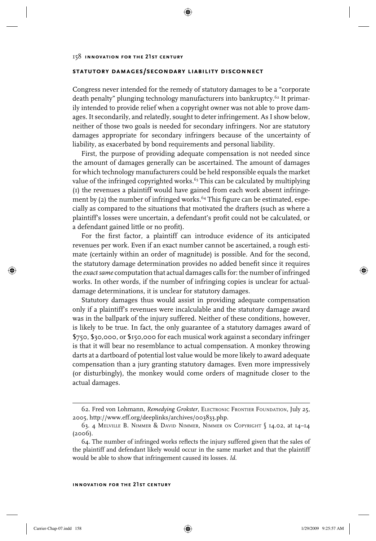## **statutory damages/secondary liability disconnect**

Congress never intended for the remedy of statutory damages to be a "corporate death penalty" plunging technology manufacturers into bankruptcy.<sup>62</sup> It primarily intended to provide relief when a copyright owner was not able to prove damages. It secondarily, and relatedly, sought to deter infringement. As I show below, neither of those two goals is needed for secondary infringers. Nor are statutory damages appropriate for secondary infringers because of the uncertainty of liability, as exacerbated by bond requirements and personal liability.

First, the purpose of providing adequate compensation is not needed since the amount of damages generally can be ascertained. The amount of damages for which technology manufacturers could be held responsible equals the market value of the infringed copyrighted works.<sup>63</sup> This can be calculated by multiplying (1) the revenues a plaintiff would have gained from each work absent infringement by (2) the number of infringed works.<sup>64</sup> This figure can be estimated, especially as compared to the situations that motivated the drafters (such as where a plaintiff's losses were uncertain, a defendant's profi t could not be calculated, or a defendant gained little or no profit).

For the first factor, a plaintiff can introduce evidence of its anticipated revenues per work. Even if an exact number cannot be ascertained, a rough estimate (certainly within an order of magnitude) is possible. And for the second, the statutory damage determination provides no added benefit since it requires the *exact same* computation that actual damages calls for: the number of infringed works. In other words, if the number of infringing copies is unclear for actualdamage determinations, it is unclear for statutory damages.

Statutory damages thus would assist in providing adequate compensation only if a plaintiff's revenues were incalculable and the statutory damage award was in the ballpark of the injury suffered. Neither of these conditions, however, is likely to be true. In fact, the only guarantee of a statutory damages award of \$750, \$30,000, or \$150,000 for each musical work against a secondary infringer is that it will bear no resemblance to actual compensation. A monkey throwing darts at a dartboard of potential lost value would be more likely to award adequate compensation than a jury granting statutory damages. Even more impressively (or disturbingly), the monkey would come orders of magnitude closer to the actual damages.

**innovation for the 21st century**

⊕

<sup>62.</sup> Fred von Lohmann, *Remedying Grokster*, ELECTRONIC FRONTIER FOUNDATION, July 25, 2005, http://www.eff.org/deeplinks/archives/003833.php.

<sup>63. 4</sup> MELVILLE B. NIMMER & DAVID NIMMER, NIMMER ON COPYRIGHT § 14.02, at 14–14 (2006).

<sup>64.</sup> The number of infringed works reflects the injury suffered given that the sales of the plaintiff and defendant likely would occur in the same market and that the plaintiff would be able to show that infringement caused its losses. *Id*.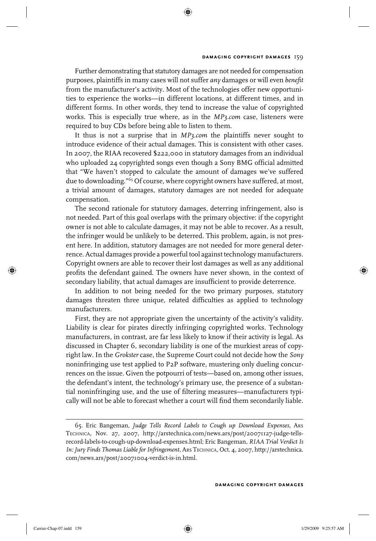Further demonstrating that statutory damages are not needed for compensation purposes, plaintiffs in many cases will not suffer *any* damages or will even *benefi t* from the manufacturer's activity. Most of the technologies offer new opportunities to experience the works—in different locations, at different times, and in different forms. In other words, they tend to increase the value of copyrighted works. This is especially true where, as in the *MP3.com* case, listeners were required to buy CDs before being able to listen to them.

It thus is not a surprise that in *MP3.com* the plaintiffs never sought to introduce evidence of their actual damages. This is consistent with other cases. In 2007, the RIAA recovered \$222,000 in statutory damages from an individual who uploaded 24 copyrighted songs even though a Sony BMG official admitted that "We haven't stopped to calculate the amount of damages we've suffered due to downloading."<sup>65</sup> Of course, where copyright owners have suffered, at most, a trivial amount of damages, statutory damages are not needed for adequate compensation.

The second rationale for statutory damages, deterring infringement, also is not needed. Part of this goal overlaps with the primary objective: if the copyright owner is not able to calculate damages, it may not be able to recover. As a result, the infringer would be unlikely to be deterred. This problem, again, is not present here. In addition, statutory damages are not needed for more general deterrence. Actual damages provide a powerful tool against technology manufacturers. Copyright owners are able to recover their lost damages as well as any additional profits the defendant gained. The owners have never shown, in the context of secondary liability, that actual damages are insufficient to provide deterrence.

In addition to not being needed for the two primary purposes, statutory damages threaten three unique, related difficulties as applied to technology manufacturers.

First, they are not appropriate given the uncertainty of the activity's validity. Liability is clear for pirates directly infringing copyrighted works. Technology manufacturers, in contrast, are far less likely to know if their activity is legal. As discussed in Chapter 6, secondary liability is one of the murkiest areas of copyright law. In the *Grokster* case, the Supreme Court could not decide how the *Sony* noninfringing use test applied to P2P software, mustering only dueling concurrences on the issue. Given the potpourri of tests—based on, among other issues, the defendant's intent, the technology's primary use, the presence of a substantial noninfringing use, and the use of filtering measures—manufacturers typically will not be able to forecast whether a court will find them secondarily liable.

**damaging copyright damages**

<sup>65.</sup> Eric Bangeman, *Judge Tells Record Labels to Cough up Download Expenses*, ARS TECHNICA, Nov. 27, 2007, http://arstechnica.com/news.ars/post/20071127-judge-tellsrecord-labels-to-cough-up-download-expenses.html; Eric Bangeman, *RIAA Trial Verdict Is In: Jury Finds Thomas Liable for Infringement*, ARS TECHNICA, Oct. 4, 2007, http://arstechnica. com/news.ars/post/20071004-verdict-is-in.html.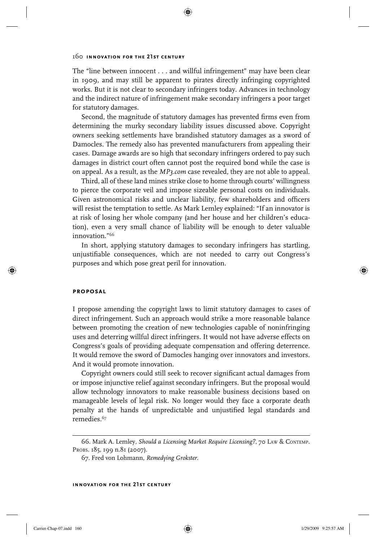The "line between innocent . . . and willful infringement" may have been clear in 1909, and may still be apparent to pirates directly infringing copyrighted works. But it is not clear to secondary infringers today. Advances in technology and the indirect nature of infringement make secondary infringers a poor target for statutory damages.

⊕

Second, the magnitude of statutory damages has prevented firms even from determining the murky secondary liability issues discussed above. Copyright owners seeking settlements have brandished statutory damages as a sword of Damocles. The remedy also has prevented manufacturers from appealing their cases. Damage awards are so high that secondary infringers ordered to pay such damages in district court often cannot post the required bond while the case is on appeal. As a result, as the *MP3.com* case revealed, they are not able to appeal.

Third, all of these land mines strike close to home through courts' willingness to pierce the corporate veil and impose sizeable personal costs on individuals. Given astronomical risks and unclear liability, few shareholders and officers will resist the temptation to settle. As Mark Lemley explained: "If an innovator is at risk of losing her whole company (and her house and her children's education), even a very small chance of liability will be enough to deter valuable innovation."66

In short, applying statutory damages to secondary infringers has startling, unjustifiable consequences, which are not needed to carry out Congress's purposes and which pose great peril for innovation.

#### **proposal**

⊕

I propose amending the copyright laws to limit statutory damages to cases of direct infringement. Such an approach would strike a more reasonable balance between promoting the creation of new technologies capable of noninfringing uses and deterring willful direct infringers. It would not have adverse effects on Congress's goals of providing adequate compensation and offering deterrence. It would remove the sword of Damocles hanging over innovators and investors. And it would promote innovation.

Copyright owners could still seek to recover significant actual damages from or impose injunctive relief against secondary infringers. But the proposal would allow technology innovators to make reasonable business decisions based on manageable levels of legal risk. No longer would they face a corporate death penalty at the hands of unpredictable and unjustified legal standards and remedies.<sup>67</sup>

**innovation for the 21st century**

<sup>66.</sup> Mark A. Lemley, *Should a Licensing Market Require Licensing?*, 70 LAW & CONTEMP. PROBS. 185, 199 n.81 (2007).

<sup>67.</sup> Fred von Lohmann, *Remedying Grokster*.